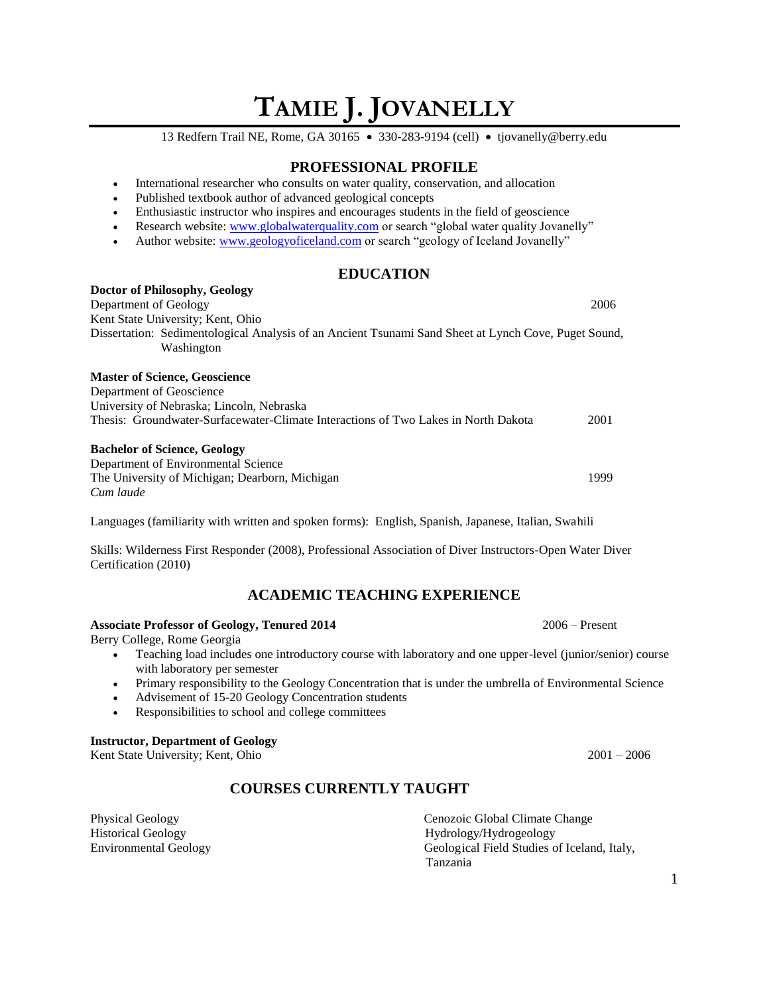# **TAMIE J. JOVANELLY**

13 Redfern Trail NE, Rome, GA 30165 • 330-283-9194 (cell) • tjovanelly@berry.edu

## **PROFESSIONAL PROFILE**

- International researcher who consults on water quality, conservation, and allocation
- Published textbook author of advanced geological concepts
- Enthusiastic instructor who inspires and encourages students in the field of geoscience
- Research website: [www.globalwaterquality.com](http://www.globalwaterquality.com/) or search "global water quality Jovanelly"
- Author website[: www.geologyoficeland.com](http://www.geologyoficeland.com/) or search "geology of Iceland Jovanelly"

## **EDUCATION**

| Doctor of Philosophy, Geology                                                                                      |      |
|--------------------------------------------------------------------------------------------------------------------|------|
| Department of Geology                                                                                              | 2006 |
| Kent State University; Kent, Ohio                                                                                  |      |
| Dissertation: Sedimentological Analysis of an Ancient Tsunami Sand Sheet at Lynch Cove, Puget Sound,<br>Washington |      |
| <b>Master of Science, Geoscience</b>                                                                               |      |
| Department of Geoscience                                                                                           |      |
| University of Nebraska; Lincoln, Nebraska                                                                          |      |
| Thesis: Groundwater-Surfacewater-Climate Interactions of Two Lakes in North Dakota                                 | 2001 |
| <b>Bachelor of Science, Geology</b>                                                                                |      |
| Department of Environmental Science                                                                                |      |
| The University of Michigan; Dearborn, Michigan                                                                     | 1999 |
| Cum laude                                                                                                          |      |

Languages (familiarity with written and spoken forms): English, Spanish, Japanese, Italian, Swahili

Skills: Wilderness First Responder (2008), Professional Association of Diver Instructors-Open Water Diver Certification (2010)

# **ACADEMIC TEACHING EXPERIENCE**

#### **Associate Professor of Geology, Tenured 2014** 2006 – Present

Berry College, Rome Georgia

- Teaching load includes one introductory course with laboratory and one upper-level (junior/senior) course with laboratory per semester
- Primary responsibility to the Geology Concentration that is under the umbrella of Environmental Science
- Advisement of 15-20 Geology Concentration students
- Responsibilities to school and college committees

#### **Instructor, Department of Geology**

Kent State University; Kent, Ohio 2001 – 2006

# **COURSES CURRENTLY TAUGHT**

Physical Geology Cenozoic Global Climate Change Historical Geology Hydrology/Hydrogeology Environmental Geology Geological Field Studies of Iceland, Italy, Tanzania

1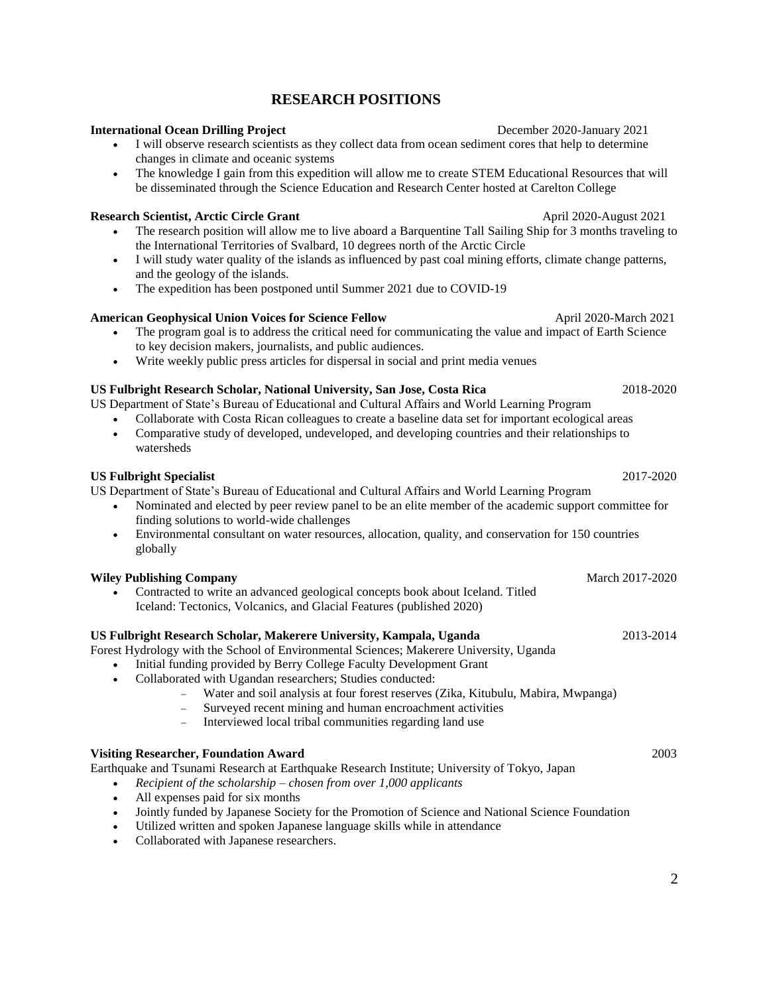# **RESEARCH POSITIONS**

#### **International Ocean Drilling Project** December 2020-January 2021

- I will observe research scientists as they collect data from ocean sediment cores that help to determine changes in climate and oceanic systems
- The knowledge I gain from this expedition will allow me to create STEM Educational Resources that will be disseminated through the Science Education and Research Center hosted at Carelton College

#### **Research Scientist, Arctic Circle Grant** April 2020-August 2021

- The research position will allow me to live aboard a Barquentine Tall Sailing Ship for 3 months traveling to the International Territories of Svalbard, 10 degrees north of the Arctic Circle
- I will study water quality of the islands as influenced by past coal mining efforts, climate change patterns, and the geology of the islands.
- The expedition has been postponed until Summer 2021 due to COVID-19

#### **American Geophysical Union Voices for Science Fellow April 2020-March 2021**

- The program goal is to address the critical need for communicating the value and impact of Earth Science to key decision makers, journalists, and public audiences.
- Write weekly public press articles for dispersal in social and print media venues

#### **US Fulbright Research Scholar, National University, San Jose, Costa Rica** 2018-2020

US Department of State's Bureau of Educational and Cultural Affairs and World Learning Program

- Collaborate with Costa Rican colleagues to create a baseline data set for important ecological areas • Comparative study of developed, undeveloped, and developing countries and their relationships to
- watersheds

#### **US Fulbright Specialist** 2017-2020

US Department of State's Bureau of Educational and Cultural Affairs and World Learning Program

- Nominated and elected by peer review panel to be an elite member of the academic support committee for finding solutions to world-wide challenges
- Environmental consultant on water resources, allocation, quality, and conservation for 150 countries globally

#### **Wiley Publishing Company** March 2017-2020

• Contracted to write an advanced geological concepts book about Iceland. Titled Iceland: Tectonics, Volcanics, and Glacial Features (published 2020)

#### **US Fulbright Research Scholar, Makerere University, Kampala, Uganda** 2013-2014

Forest Hydrology with the School of Environmental Sciences; Makerere University, Uganda

- Initial funding provided by Berry College Faculty Development Grant
- Collaborated with Ugandan researchers; Studies conducted:
	- − Water and soil analysis at four forest reserves (Zika, Kitubulu, Mabira, Mwpanga)
	- Surveyed recent mining and human encroachment activities
	- − Interviewed local tribal communities regarding land use

#### **Visiting Researcher, Foundation Award** 2003

Earthquake and Tsunami Research at Earthquake Research Institute; University of Tokyo, Japan

- *Recipient of the scholarship – chosen from over 1,000 applicants*
- All expenses paid for six months
- Jointly funded by Japanese Society for the Promotion of Science and National Science Foundation
- Utilized written and spoken Japanese language skills while in attendance
- Collaborated with Japanese researchers.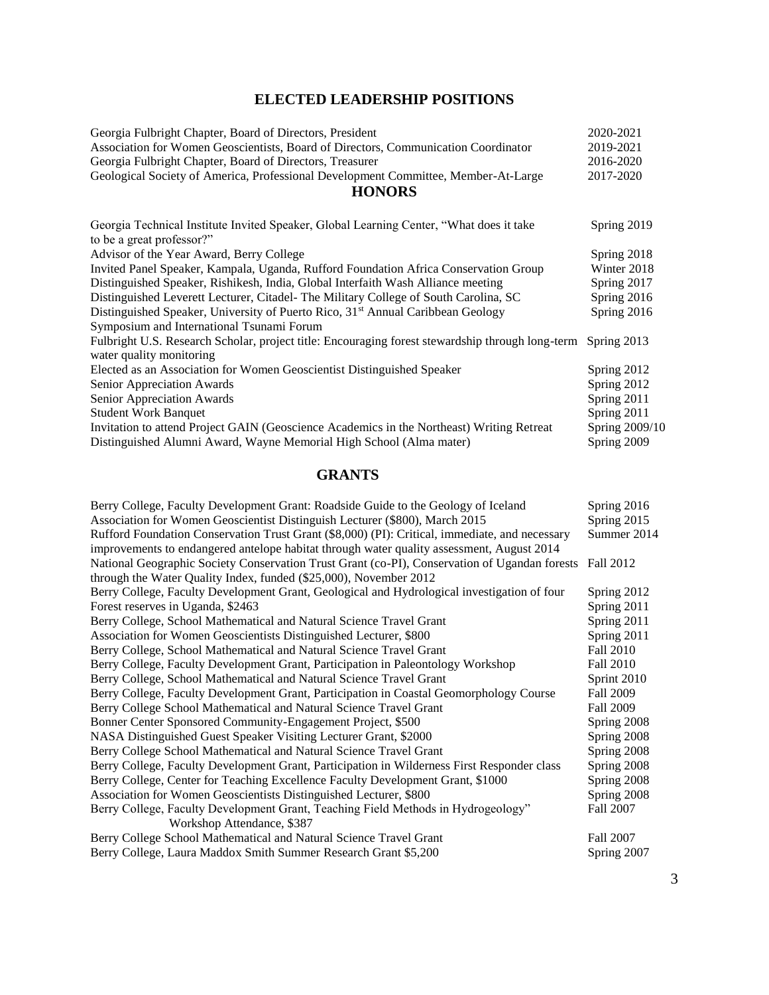# **ELECTED LEADERSHIP POSITIONS**

| Georgia Fulbright Chapter, Board of Directors, President                                                             | 2020-2021      |
|----------------------------------------------------------------------------------------------------------------------|----------------|
| Association for Women Geoscientists, Board of Directors, Communication Coordinator                                   | 2019-2021      |
| Georgia Fulbright Chapter, Board of Directors, Treasurer                                                             | 2016-2020      |
| Geological Society of America, Professional Development Committee, Member-At-Large                                   | 2017-2020      |
| <b>HONORS</b>                                                                                                        |                |
| Georgia Technical Institute Invited Speaker, Global Learning Center, "What does it take<br>to be a great professor?" | Spring 2019    |
| Advisor of the Year Award, Berry College                                                                             | Spring 2018    |
| Invited Panel Speaker, Kampala, Uganda, Rufford Foundation Africa Conservation Group                                 | Winter 2018    |
| Distinguished Speaker, Rishikesh, India, Global Interfaith Wash Alliance meeting                                     | Spring 2017    |
| Distinguished Leverett Lecturer, Citadel- The Military College of South Carolina, SC                                 | Spring 2016    |
| Distinguished Speaker, University of Puerto Rico, 31 <sup>st</sup> Annual Caribbean Geology                          | Spring 2016    |
| Symposium and International Tsunami Forum                                                                            |                |
| Fulbright U.S. Research Scholar, project title: Encouraging forest stewardship through long-term Spring 2013         |                |
| water quality monitoring                                                                                             |                |
| Elected as an Association for Women Geoscientist Distinguished Speaker                                               | Spring 2012    |
| Senior Appreciation Awards                                                                                           | Spring 2012    |
| Senior Appreciation Awards                                                                                           | Spring 2011    |
| <b>Student Work Banquet</b>                                                                                          | Spring 2011    |
| Invitation to attend Project GAIN (Geoscience Academics in the Northeast) Writing Retreat                            | Spring 2009/10 |
| Distinguished Alumni Award, Wayne Memorial High School (Alma mater)                                                  | Spring 2009    |

# **GRANTS**

| Berry College, Faculty Development Grant: Roadside Guide to the Geology of Iceland                      | Spring 2016      |
|---------------------------------------------------------------------------------------------------------|------------------|
| Association for Women Geoscientist Distinguish Lecturer (\$800), March 2015                             | Spring 2015      |
| Rufford Foundation Conservation Trust Grant (\$8,000) (PI): Critical, immediate, and necessary          | Summer 2014      |
| improvements to endangered antelope habitat through water quality assessment, August 2014               |                  |
| National Geographic Society Conservation Trust Grant (co-PI), Conservation of Ugandan forests Fall 2012 |                  |
| through the Water Quality Index, funded (\$25,000), November 2012                                       |                  |
| Berry College, Faculty Development Grant, Geological and Hydrological investigation of four             | Spring 2012      |
| Forest reserves in Uganda, \$2463                                                                       | Spring 2011      |
| Berry College, School Mathematical and Natural Science Travel Grant                                     | Spring 2011      |
| Association for Women Geoscientists Distinguished Lecturer, \$800                                       | Spring 2011      |
| Berry College, School Mathematical and Natural Science Travel Grant                                     | Fall 2010        |
| Berry College, Faculty Development Grant, Participation in Paleontology Workshop                        | Fall 2010        |
| Berry College, School Mathematical and Natural Science Travel Grant                                     | Sprint 2010      |
| Berry College, Faculty Development Grant, Participation in Coastal Geomorphology Course                 | <b>Fall 2009</b> |
| Berry College School Mathematical and Natural Science Travel Grant                                      | <b>Fall 2009</b> |
| Bonner Center Sponsored Community-Engagement Project, \$500                                             | Spring 2008      |
| NASA Distinguished Guest Speaker Visiting Lecturer Grant, \$2000                                        | Spring 2008      |
| Berry College School Mathematical and Natural Science Travel Grant                                      | Spring 2008      |
| Berry College, Faculty Development Grant, Participation in Wilderness First Responder class             | Spring 2008      |
| Berry College, Center for Teaching Excellence Faculty Development Grant, \$1000                         | Spring 2008      |
| Association for Women Geoscientists Distinguished Lecturer, \$800                                       | Spring 2008      |
| Berry College, Faculty Development Grant, Teaching Field Methods in Hydrogeology"                       | Fall 2007        |
| Workshop Attendance, \$387                                                                              |                  |
| Berry College School Mathematical and Natural Science Travel Grant                                      | Fall 2007        |
| Berry College, Laura Maddox Smith Summer Research Grant \$5,200                                         | Spring 2007      |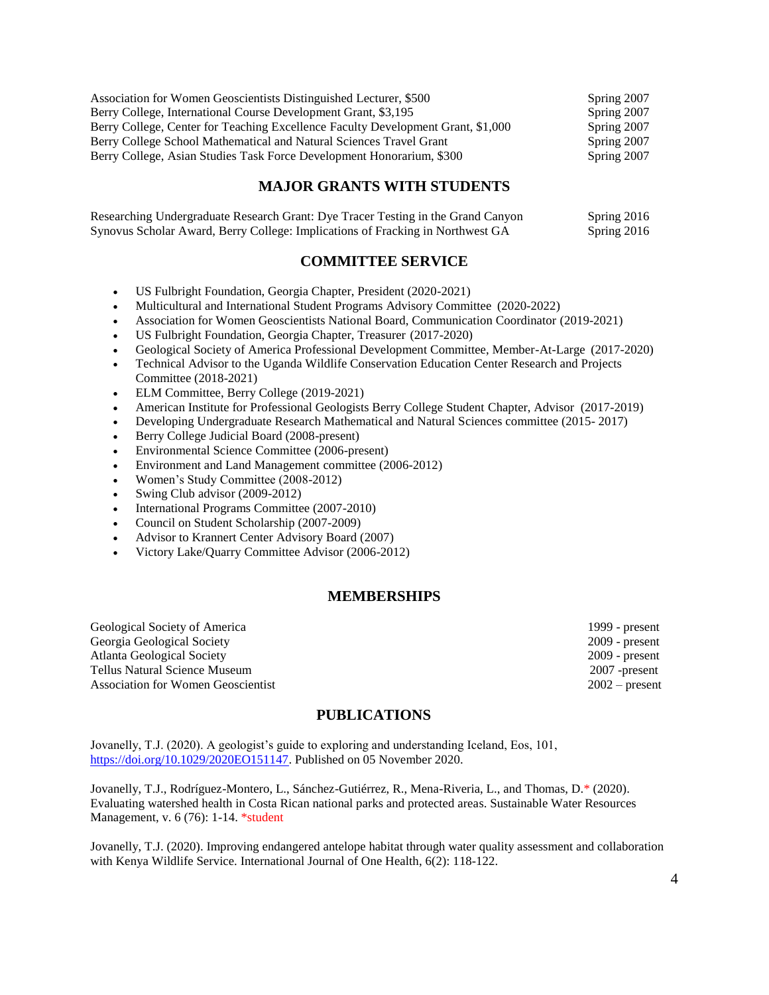| Association for Women Geoscientists Distinguished Lecturer, \$500                | Spring 2007 |
|----------------------------------------------------------------------------------|-------------|
| Berry College, International Course Development Grant, \$3,195                   | Spring 2007 |
| Berry College, Center for Teaching Excellence Faculty Development Grant, \$1,000 | Spring 2007 |
| Berry College School Mathematical and Natural Sciences Travel Grant              | Spring 2007 |
| Berry College, Asian Studies Task Force Development Honorarium, \$300            | Spring 2007 |

# **MAJOR GRANTS WITH STUDENTS**

| Researching Undergraduate Research Grant: Dye Tracer Testing in the Grand Canyon | Spring 2016 |
|----------------------------------------------------------------------------------|-------------|
| Synovus Scholar Award, Berry College: Implications of Fracking in Northwest GA   | Spring 2016 |

## **COMMITTEE SERVICE**

- US Fulbright Foundation, Georgia Chapter, President (2020-2021)
- Multicultural and International Student Programs Advisory Committee (2020-2022)
- Association for Women Geoscientists National Board, Communication Coordinator (2019-2021)
- US Fulbright Foundation, Georgia Chapter, Treasurer (2017-2020)
- Geological Society of America Professional Development Committee, Member-At-Large (2017-2020)
- Technical Advisor to the Uganda Wildlife Conservation Education Center Research and Projects Committee (2018-2021)
- ELM Committee, Berry College (2019-2021)
- American Institute for Professional Geologists Berry College Student Chapter, Advisor (2017-2019)
- Developing Undergraduate Research Mathematical and Natural Sciences committee (2015- 2017)
- Berry College Judicial Board (2008-present)
- Environmental Science Committee (2006-present)
- Environment and Land Management committee (2006-2012)
- Women's Study Committee (2008-2012)
- Swing Club advisor (2009-2012)
- International Programs Committee (2007-2010)
- Council on Student Scholarship (2007-2009)
- Advisor to Krannert Center Advisory Board (2007)
- Victory Lake/Quarry Committee Advisor (2006-2012)

#### **MEMBERSHIPS**

Geological Society of America 1999 - present Georgia Geological Society 2009 - present Atlanta Geological Society 2009 - present Tellus Natural Science Museum 2007 -present Association for Women Geoscientist 2002 – present

# **PUBLICATIONS**

Jovanelly, T.J. (2020). A geologist's guide to exploring and understanding Iceland, Eos, 101, [https://doi.org/10.1029/2020EO151147.](https://doi.org/10.1029/2020EO151147) Published on 05 November 2020.

Jovanelly, T.J., Rodríguez-Montero, L., Sánchez-Gutiérrez, R., Mena-Riveria, L., and Thomas, D.\* (2020). Evaluating watershed health in Costa Rican national parks and protected areas. Sustainable Water Resources Management, v. 6 (76): 1-14. \*student

Jovanelly, T.J. (2020). Improving endangered antelope habitat through water quality assessment and collaboration with Kenya Wildlife Service. International Journal of One Health, 6(2): 118-122.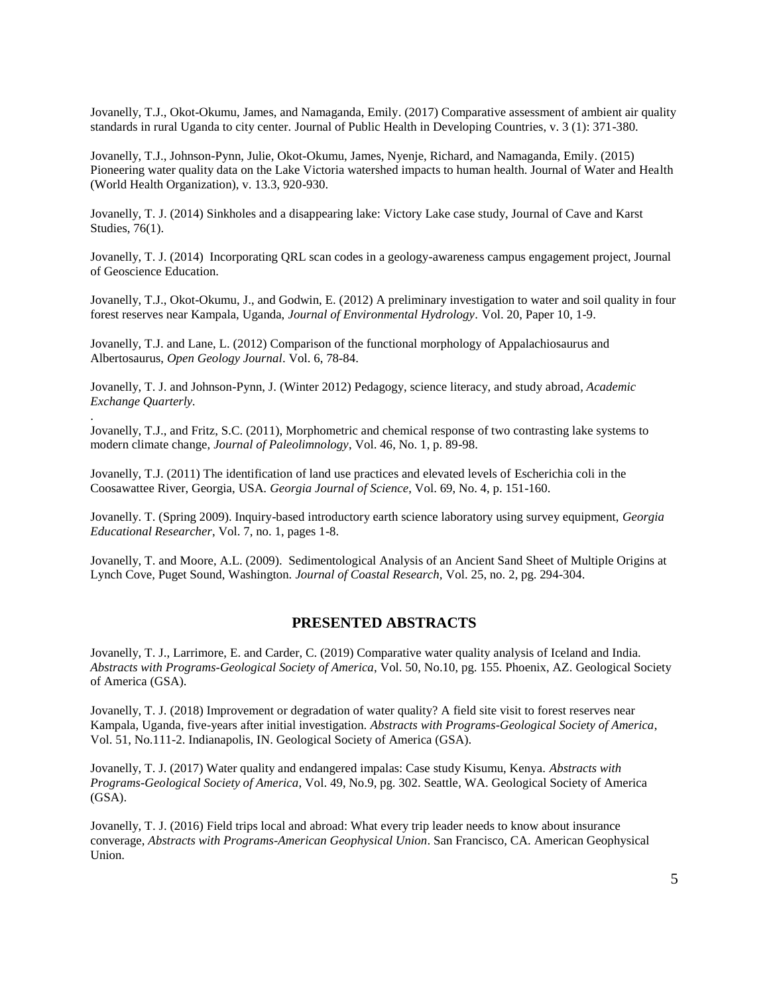Jovanelly, T.J., Okot-Okumu, James, and Namaganda, Emily. (2017) Comparative assessment of ambient air quality standards in rural Uganda to city center. Journal of Public Health in Developing Countries, v. 3 (1): 371-380.

Jovanelly, T.J., Johnson-Pynn, Julie, Okot-Okumu, James, Nyenje, Richard, and Namaganda, Emily. (2015) Pioneering water quality data on the Lake Victoria watershed impacts to human health. Journal of Water and Health (World Health Organization), v. 13.3, 920-930.

Jovanelly, T. J. (2014) Sinkholes and a disappearing lake: Victory Lake case study, Journal of Cave and Karst Studies, 76(1).

Jovanelly, T. J. (2014) Incorporating QRL scan codes in a geology-awareness campus engagement project, Journal of Geoscience Education.

Jovanelly, T.J., Okot-Okumu, J., and Godwin, E. (2012) A preliminary investigation to water and soil quality in four forest reserves near Kampala, Uganda, *Journal of Environmental Hydrology*. Vol. 20, Paper 10, 1-9.

Jovanelly, T.J. and Lane, L. (2012) Comparison of the functional morphology of Appalachiosaurus and Albertosaurus, *Open Geology Journal*. Vol. 6, 78-84.

.

Jovanelly, T. J. and Johnson-Pynn, J. (Winter 2012) Pedagogy, science literacy, and study abroad*, Academic Exchange Quarterly.*

Jovanelly, T.J., and Fritz, S.C. (2011), Morphometric and chemical response of two contrasting lake systems to modern climate change, *Journal of Paleolimnology*, Vol. 46, No. 1, p. 89-98.

Jovanelly, T.J. (2011) The identification of land use practices and elevated levels of Escherichia coli in the Coosawattee River, Georgia, USA*. Georgia Journal of Science*, Vol. 69, No. 4, p. 151-160.

Jovanelly. T. (Spring 2009). Inquiry-based introductory earth science laboratory using survey equipment, *Georgia Educational Researcher*, Vol. 7, no. 1, pages 1-8.

Jovanelly, T. and Moore, A.L. (2009). Sedimentological Analysis of an Ancient Sand Sheet of Multiple Origins at Lynch Cove, Puget Sound, Washington. *Journal of Coastal Research,* Vol. 25, no. 2, pg. 294-304.

#### **PRESENTED ABSTRACTS**

Jovanelly, T. J., Larrimore, E. and Carder, C. (2019) Comparative water quality analysis of Iceland and India. *Abstracts with Programs-Geological Society of America*, Vol. 50, No.10, pg. 155. Phoenix, AZ. Geological Society of America (GSA).

Jovanelly, T. J. (2018) Improvement or degradation of water quality? A field site visit to forest reserves near Kampala, Uganda, five-years after initial investigation. *Abstracts with Programs-Geological Society of America*, Vol. 51, No.111-2. Indianapolis, IN. Geological Society of America (GSA).

Jovanelly, T. J. (2017) Water quality and endangered impalas: Case study Kisumu, Kenya. *Abstracts with Programs-Geological Society of America*, Vol. 49, No.9, pg. 302. Seattle, WA. Geological Society of America (GSA).

Jovanelly, T. J. (2016) Field trips local and abroad: What every trip leader needs to know about insurance converage, *Abstracts with Programs-American Geophysical Union*. San Francisco, CA. American Geophysical Union.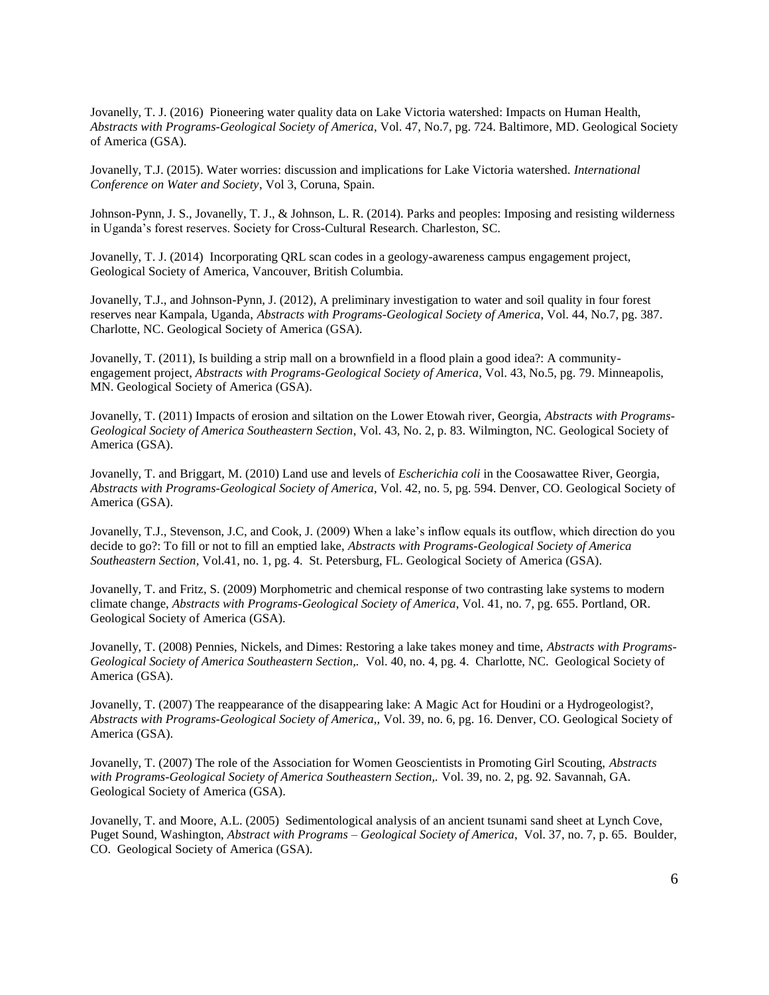Jovanelly, T. J. (2016) Pioneering water quality data on Lake Victoria watershed: Impacts on Human Health, *Abstracts with Programs-Geological Society of America*, Vol. 47, No.7, pg. 724. Baltimore, MD. Geological Society of America (GSA).

Jovanelly, T.J. (2015). Water worries: discussion and implications for Lake Victoria watershed*. International Conference on Water and Society*, Vol 3, Coruna, Spain.

Johnson-Pynn, J. S., Jovanelly, T. J., & Johnson, L. R. (2014). Parks and peoples: Imposing and resisting wilderness in Uganda's forest reserves. Society for Cross-Cultural Research. Charleston, SC.

Jovanelly, T. J. (2014) Incorporating QRL scan codes in a geology-awareness campus engagement project, Geological Society of America, Vancouver, British Columbia.

Jovanelly, T.J., and Johnson-Pynn, J. (2012), A preliminary investigation to water and soil quality in four forest reserves near Kampala, Uganda, *Abstracts with Programs-Geological Society of America*, Vol. 44, No.7, pg. 387. Charlotte, NC. Geological Society of America (GSA).

Jovanelly, T. (2011), Is building a strip mall on a brownfield in a flood plain a good idea?: A communityengagement project, *Abstracts with Programs-Geological Society of America*, Vol. 43, No.5, pg. 79. Minneapolis, MN. Geological Society of America (GSA).

Jovanelly, T. (2011) Impacts of erosion and siltation on the Lower Etowah river, Georgia, *Abstracts with Programs-Geological Society of America Southeastern Section*, Vol. 43, No. 2, p. 83. Wilmington, NC. Geological Society of America (GSA).

Jovanelly, T. and Briggart, M. (2010) Land use and levels of *Escherichia coli* in the Coosawattee River, Georgia, *Abstracts with Programs-Geological Society of America*, Vol. 42, no. 5, pg. 594. Denver, CO. Geological Society of America (GSA).

Jovanelly, T.J., Stevenson, J.C, and Cook, J. (2009) When a lake's inflow equals its outflow, which direction do you decide to go?: To fill or not to fill an emptied lake, *Abstracts with Programs-Geological Society of America Southeastern Section,* Vol.41, no. 1, pg. 4. St. Petersburg, FL. Geological Society of America (GSA).

Jovanelly, T. and Fritz, S. (2009) Morphometric and chemical response of two contrasting lake systems to modern climate change, *Abstracts with Programs-Geological Society of America*, Vol. 41, no. 7, pg. 655. Portland, OR. Geological Society of America (GSA).

Jovanelly, T. (2008) Pennies, Nickels, and Dimes: Restoring a lake takes money and time, *Abstracts with Programs-Geological Society of America Southeastern Section,.* Vol. 40, no. 4, pg. 4. Charlotte, NC. Geological Society of America (GSA).

Jovanelly, T. (2007) The reappearance of the disappearing lake: A Magic Act for Houdini or a Hydrogeologist?, *Abstracts with Programs-Geological Society of America,,* Vol. 39, no. 6, pg. 16. Denver, CO. Geological Society of America (GSA).

Jovanelly, T. (2007) The role of the Association for Women Geoscientists in Promoting Girl Scouting, *Abstracts with Programs-Geological Society of America Southeastern Section,.* Vol. 39, no. 2, pg. 92. Savannah, GA. Geological Society of America (GSA).

Jovanelly, T. and Moore, A.L. (2005) Sedimentological analysis of an ancient tsunami sand sheet at Lynch Cove, Puget Sound, Washington, *Abstract with Programs – Geological Society of America*, Vol. 37, no. 7, p. 65. Boulder, CO. Geological Society of America (GSA).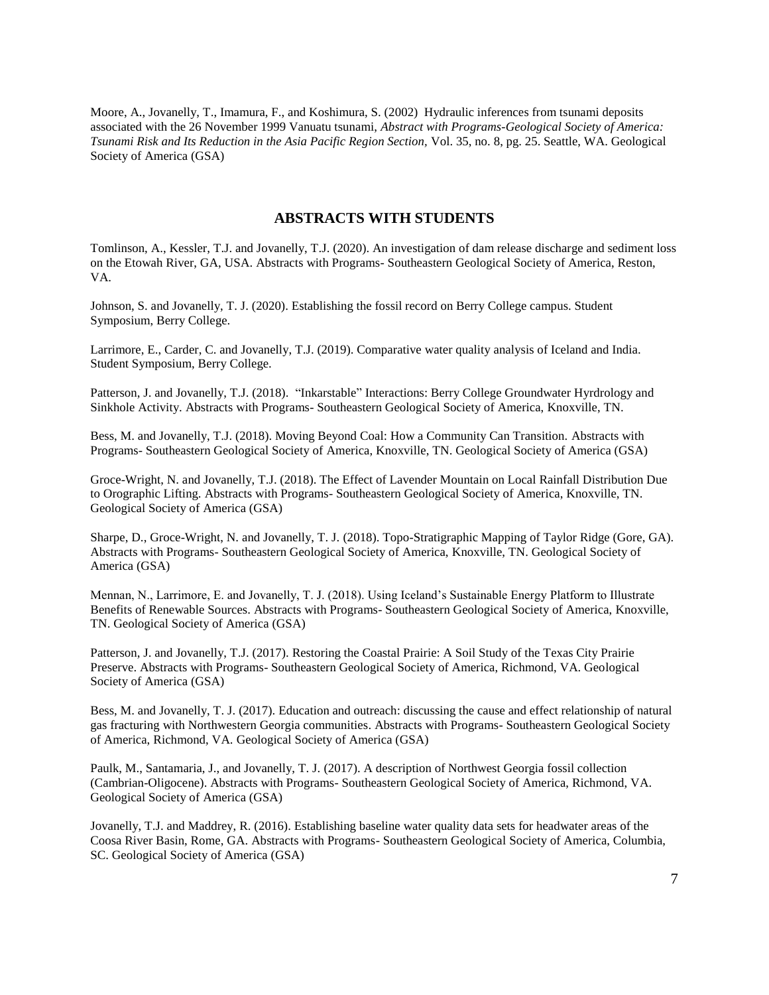Moore, A., Jovanelly, T., Imamura, F., and Koshimura, S. (2002) Hydraulic inferences from tsunami deposits associated with the 26 November 1999 Vanuatu tsunami, *Abstract with Programs-Geological Society of America: Tsunami Risk and Its Reduction in the Asia Pacific Region Section,* Vol. 35, no. 8, pg. 25. Seattle, WA. Geological Society of America (GSA)

#### **ABSTRACTS WITH STUDENTS**

Tomlinson, A., Kessler, T.J. and Jovanelly, T.J. (2020). An investigation of dam release discharge and sediment loss on the Etowah River, GA, USA. Abstracts with Programs- Southeastern Geological Society of America, Reston, VA.

Johnson, S. and Jovanelly, T. J. (2020). Establishing the fossil record on Berry College campus. Student Symposium, Berry College.

Larrimore, E., Carder, C. and Jovanelly, T.J. (2019). Comparative water quality analysis of Iceland and India. Student Symposium, Berry College.

Patterson, J. and Jovanelly, T.J. (2018). "Inkarstable" Interactions: Berry College Groundwater Hyrdrology and Sinkhole Activity. Abstracts with Programs- Southeastern Geological Society of America, Knoxville, TN.

Bess, M. and Jovanelly, T.J. (2018). Moving Beyond Coal: How a Community Can Transition. Abstracts with Programs- Southeastern Geological Society of America, Knoxville, TN. Geological Society of America (GSA)

Groce-Wright, N. and Jovanelly, T.J. (2018). The Effect of Lavender Mountain on Local Rainfall Distribution Due to Orographic Lifting. Abstracts with Programs- Southeastern Geological Society of America, Knoxville, TN. Geological Society of America (GSA)

Sharpe, D., Groce-Wright, N. and Jovanelly, T. J. (2018). Topo-Stratigraphic Mapping of Taylor Ridge (Gore, GA). Abstracts with Programs- Southeastern Geological Society of America, Knoxville, TN. Geological Society of America (GSA)

Mennan, N., Larrimore, E. and Jovanelly, T. J. (2018). Using Iceland's Sustainable Energy Platform to Illustrate Benefits of Renewable Sources. Abstracts with Programs- Southeastern Geological Society of America, Knoxville, TN. Geological Society of America (GSA)

Patterson, J. and Jovanelly, T.J. (2017). Restoring the Coastal Prairie: A Soil Study of the Texas City Prairie Preserve. Abstracts with Programs- Southeastern Geological Society of America, Richmond, VA. Geological Society of America (GSA)

Bess, M. and Jovanelly, T. J. (2017). Education and outreach: discussing the cause and effect relationship of natural gas fracturing with Northwestern Georgia communities. Abstracts with Programs- Southeastern Geological Society of America, Richmond, VA. Geological Society of America (GSA)

Paulk, M., Santamaria, J., and Jovanelly, T. J. (2017). A description of Northwest Georgia fossil collection (Cambrian-Oligocene). Abstracts with Programs- Southeastern Geological Society of America, Richmond, VA. Geological Society of America (GSA)

Jovanelly, T.J. and Maddrey, R. (2016). Establishing baseline water quality data sets for headwater areas of the Coosa River Basin, Rome, GA. Abstracts with Programs- Southeastern Geological Society of America, Columbia, SC. Geological Society of America (GSA)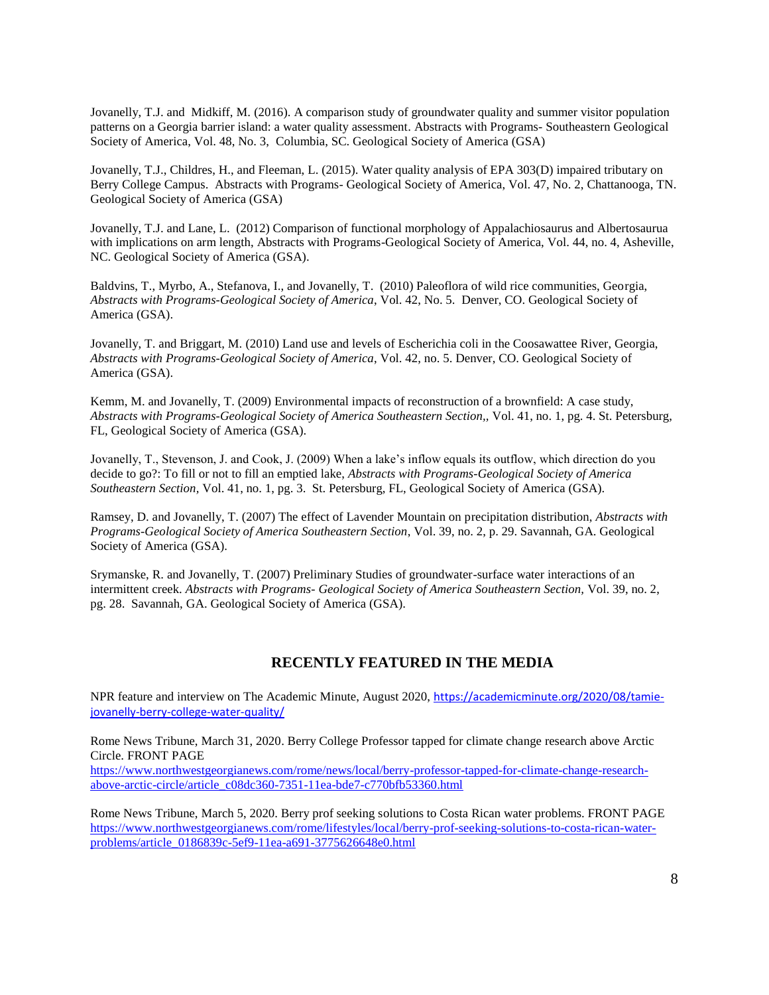Jovanelly, T.J. and Midkiff, M. (2016). A comparison study of groundwater quality and summer visitor population patterns on a Georgia barrier island: a water quality assessment. Abstracts with Programs- Southeastern Geological Society of America, Vol. 48, No. 3, Columbia, SC. Geological Society of America (GSA)

Jovanelly, T.J., Childres, H., and Fleeman, L. (2015). Water quality analysis of EPA 303(D) impaired tributary on Berry College Campus. Abstracts with Programs- Geological Society of America, Vol. 47, No. 2, Chattanooga, TN. Geological Society of America (GSA)

Jovanelly, T.J. and Lane, L. (2012) Comparison of functional morphology of Appalachiosaurus and Albertosaurua with implications on arm length, Abstracts with Programs-Geological Society of America, Vol. 44, no. 4, Asheville, NC. Geological Society of America (GSA).

Baldvins, T., Myrbo, A., Stefanova, I., and Jovanelly, T. (2010) Paleoflora of wild rice communities, Georgia, *Abstracts with Programs-Geological Society of America*, Vol. 42, No. 5. Denver, CO. Geological Society of America (GSA).

Jovanelly, T. and Briggart, M. (2010) Land use and levels of Escherichia coli in the Coosawattee River, Georgia, *Abstracts with Programs-Geological Society of America*, Vol. 42, no. 5. Denver, CO. Geological Society of America (GSA).

Kemm, M. and Jovanelly, T. (2009) Environmental impacts of reconstruction of a brownfield: A case study, *Abstracts with Programs-Geological Society of America Southeastern Section,,* Vol. 41, no. 1, pg. 4. St. Petersburg, FL, Geological Society of America (GSA).

Jovanelly, T., Stevenson, J. and Cook, J. (2009) When a lake's inflow equals its outflow, which direction do you decide to go?: To fill or not to fill an emptied lake, *Abstracts with Programs-Geological Society of America Southeastern Section,* Vol. 41, no. 1, pg. 3. St. Petersburg, FL, Geological Society of America (GSA).

Ramsey, D. and Jovanelly, T. (2007) The effect of Lavender Mountain on precipitation distribution, *Abstracts with Programs-Geological Society of America Southeastern Section*, Vol. 39, no. 2, p. 29. Savannah, GA. Geological Society of America (GSA).

Srymanske, R. and Jovanelly, T. (2007) Preliminary Studies of groundwater-surface water interactions of an intermittent creek. *Abstracts with Programs- Geological Society of America Southeastern Section,* Vol. 39, no. 2, pg. 28. Savannah, GA. Geological Society of America (GSA).

# **RECENTLY FEATURED IN THE MEDIA**

NPR feature and interview on The Academic Minute, August 2020, [https://academicminute.org/2020/08/tamie](https://academicminute.org/2020/08/tamie-jovanelly-berry-college-water-quality/)[jovanelly-berry-college-water-quality/](https://academicminute.org/2020/08/tamie-jovanelly-berry-college-water-quality/)

Rome News Tribune, March 31, 2020. Berry College Professor tapped for climate change research above Arctic Circle. FRONT PAGE

[https://www.northwestgeorgianews.com/rome/news/local/berry-professor-tapped-for-climate-change-research](https://www.northwestgeorgianews.com/rome/news/local/berry-professor-tapped-for-climate-change-research-above-arctic-circle/article_c08dc360-7351-11ea-bde7-c770bfb53360.html)[above-arctic-circle/article\\_c08dc360-7351-11ea-bde7-c770bfb53360.html](https://www.northwestgeorgianews.com/rome/news/local/berry-professor-tapped-for-climate-change-research-above-arctic-circle/article_c08dc360-7351-11ea-bde7-c770bfb53360.html)

Rome News Tribune, March 5, 2020. Berry prof seeking solutions to Costa Rican water problems. FRONT PAGE [https://www.northwestgeorgianews.com/rome/lifestyles/local/berry-prof-seeking-solutions-to-costa-rican-water](https://www.northwestgeorgianews.com/rome/lifestyles/local/berry-prof-seeking-solutions-to-costa-rican-water-problems/article_0186839c-5ef9-11ea-a691-3775626648e0.html)[problems/article\\_0186839c-5ef9-11ea-a691-3775626648e0.html](https://www.northwestgeorgianews.com/rome/lifestyles/local/berry-prof-seeking-solutions-to-costa-rican-water-problems/article_0186839c-5ef9-11ea-a691-3775626648e0.html)